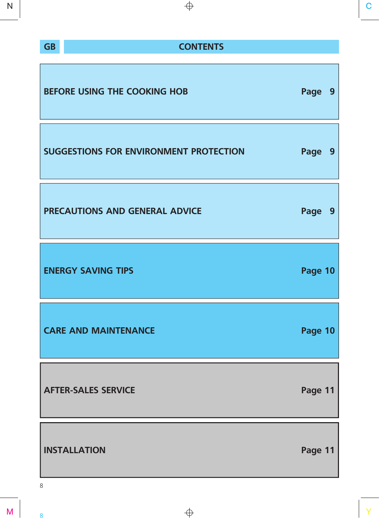| <b>Service Service</b><br>$\mathcal{L}(\mathcal{L})$ |                                                                                                                |
|------------------------------------------------------|----------------------------------------------------------------------------------------------------------------|
| a s<br>. .                                           | and the state of the state of the state of the state of the state of the state of the state of the state of th |

# **GB CONTENTS**

| BEFORE USING THE COOKING HOB                  | Page    | -9 |
|-----------------------------------------------|---------|----|
| <b>SUGGESTIONS FOR ENVIRONMENT PROTECTION</b> | Page    | 9  |
| PRECAUTIONS AND GENERAL ADVICE                | Page    | 9  |
| <b>ENERGY SAVING TIPS</b>                     | Page 10 |    |
| <b>CARE AND MAINTENANCE</b>                   | Page 10 |    |
| <b>AFTER-SALES SERVICE</b>                    | Page 11 |    |
| <b>INSTALLATION</b>                           | Page 11 |    |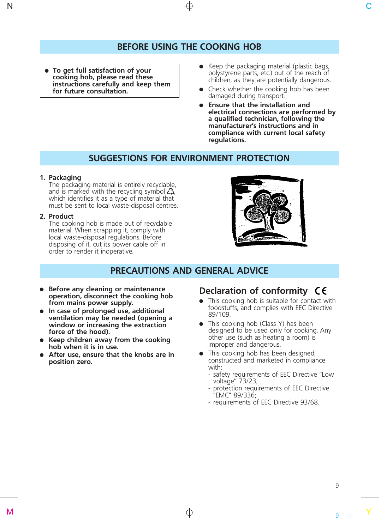## **BEFORE USING THE COOKING HOB**

- **To get full satisfaction of your cooking hob, please read these instructions carefully and keep them for future consultation.**
- $\bullet$  Keep the packaging material (plastic bags, polystyrene parts, etc.) out of the reach of children, as they are potentially dangerous.
- $\bullet$  Check whether the cooking hob has been damaged during transport.
- **Ensure that the installation and electrical connections are performed by a qualified technician, following the manufacturer's instructions and in compliance with current local safety regulations.**

## **SUGGESTIONS FOR ENVIRONMENT PROTECTION**

#### **1. Packaging**

The packaging material is entirely recyclable, and is marked with the recycling symbol  $\Delta$ , which identifies it as a type of material that must be sent to local waste-disposal centres.

#### **2. Product**

The cooking hob is made out of recyclable material. When scrapping it, comply with local waste-disposal regulations. Before disposing of it, cut its power cable off in order to render it inoperative.



# **PRECAUTIONS AND GENERAL ADVICE**

- **Before any cleaning or maintenance operation, disconnect the cooking hob from mains power supply.**
- **•** In case of prolonged use, additional **ventilation may be needed (opening a window or increasing the extraction force of the hood).**
- **Keep children away from the cooking hob when it is in use.**
- **•** After use, ensure that the knobs are in **position zero.**

# **Declaration of conformity**

- This cooking hob is suitable for contact with foodstuffs, and complies with EEC Directive 89/109.
- $\bullet$  This cooking hob (Class Y) has been designed to be used only for cooking. Any other use (such as heating a room) is improper and dangerous.
- This cooking hob has been designed, constructed and marketed in compliance with:
	- safety requirements of EEC Directive "Low voltage" 73/23;
	- protection requirements of EEC Directive "EMC" 89/336;
	- requirements of EEC Directive 93/68.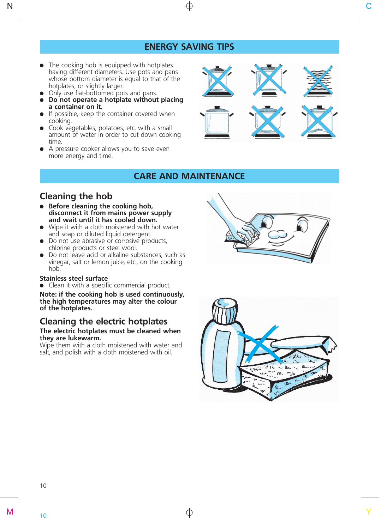# **ENERGY SAVING TIPS**

- $\bullet$  The cooking hob is equipped with hotplates having different diameters. Use pots and pans whose bottom diameter is equal to that of the hotplates, or slightly larger.
- Only use flat-bottomed pots and pans.
- x **Do not operate a hotplate without placing a container on it.**
- $\bullet$  If possible, keep the container covered when cooking.
- Cook vegetables, potatoes, etc. with a small amount of water in order to cut down cooking time.
- A pressure cooker allows you to save even more energy and time.



## **CARE AND MAINTENANCE**

# **Cleaning the hob**

- **•** Before cleaning the cooking hob, **disconnect it from mains power supply and wait until it has cooled down.**
- $\bullet$  Wipe it with a cloth moistened with hot water and soap or diluted liquid detergent.
- Do not use abrasive or corrosive products, chlorine products or steel wool.
- Do not leave acid or alkaline substances, such as vinegar, salt or lemon juice, etc., on the cooking hob.

#### **Stainless steel surface**

• Clean it with a specific commercial product.

**Note: if the cooking hob is used continuously, the high temperatures may alter the colour of the hotplates.**

# **Cleaning the electric hotplates**

#### **The electric hotplates must be cleaned when they are lukewarm.**

Wipe them with a cloth moistened with water and salt, and polish with a cloth moistened with oil.



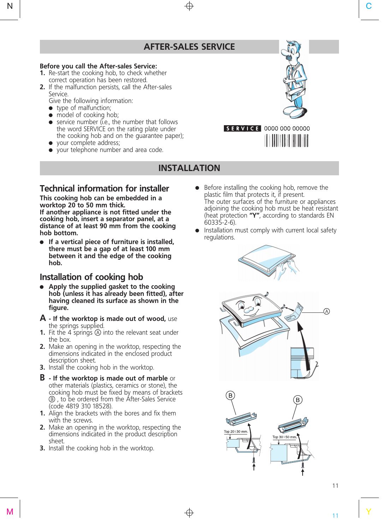# **AFTER-SALES SERVICE**

#### **Before you call the After-sales Service:**

- **1.** Re-start the cooking hob, to check whether correct operation has been restored.
- **2.** If the malfunction persists, call the After-sales Service.

Give the following information:

- $\bullet$  type of malfunction;
- $\bullet$  model of cooking hob;
- $\bullet$  service number (i.e., the number that follows the word SERVICE on the rating plate under the cooking hob and on the guarantee paper);
- your complete address;
- your telephone number and area code.



# $\begin{array}{c|c|c|c|c} \hline \textbf{skvice} & 0000 0000 00000 \\ \hline \end{array}$

## **INSTALLATION**

## **Technical information for installer**

**This cooking hob can be embedded in a worktop 20 to 50 mm thick. If another appliance is not fitted under the cooking hob, insert a separator panel, at a distance of at least 90 mm from the cooking hob bottom.**

**•** If a vertical piece of furniture is installed, **there must be a gap of at least 00 mm between it and the edge of the cooking hob.**

## **Installation of cooking hob**

- **•** Apply the supplied gasket to the cooking **hob (unless it has already been fitted), after having cleaned its surface as shown in the figure.**
- **A If the worktop is made out of wood,** use the springs supplied.
- **1.** Fit the 4 springs  $\circledA$  into the relevant seat under the box.
- **2.** Make an opening in the worktop, respecting the dimensions indicated in the enclosed product description sheet.
- **3.** Install the cooking hob in the worktop.
- **B If the worktop is made out of marble** or other materials (plastics, ceramics or stone), the cooking hob must be fixed by means of brackets b , to be ordered from the After-Sales Service (code 4819 310 18528).
- **1.** Align the brackets with the bores and fix them with the screws.
- **2.** Make an opening in the worktop, respecting the dimensions indicated in the product description sheet.
- **3.** Install the cooking hob in the worktop.
- Before installing the cooking hob, remove the plastic film that protects it, if present. The outer surfaces of the furniture or appliances adjoining the cooking hob must be heat resistant (heat protection **"Y"**, according to standards EN 60335-2-6).
- Installation must comply with current local safety regulations.